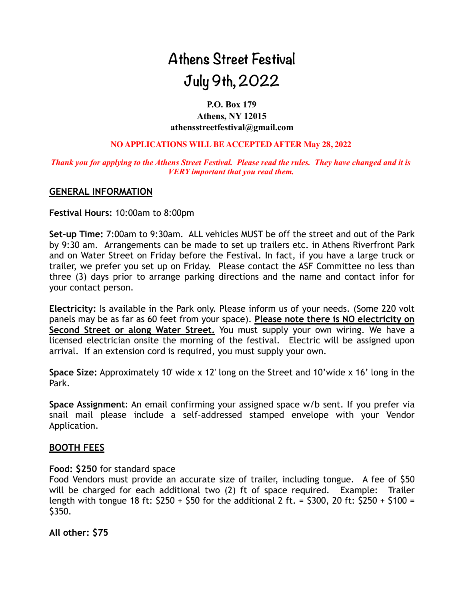# **Athens Street Festival July 9th, 2022**

# **P.O. Box 179 Athens, NY 12015 athensstreetfestival@gmail.com**

#### **NO APPLICATIONS WILL BE ACCEPTED AFTER May 28, 2022**

#### *Thank you for applying to the Athens Street Festival. Please read the rules. They have changed and it is VERY important that you read them.*

#### **GENERAL INFORMATION**

**Festival Hours:** 10:00am to 8:00pm

**Set-up Time:** 7:00am to 9:30am. ALL vehicles MUST be off the street and out of the Park by 9:30 am. Arrangements can be made to set up trailers etc. in Athens Riverfront Park and on Water Street on Friday before the Festival. In fact, if you have a large truck or trailer, we prefer you set up on Friday. Please contact the ASF Committee no less than three (3) days prior to arrange parking directions and the name and contact infor for your contact person.

**Electricity:** Is available in the Park only. Please inform us of your needs. (Some 220 volt panels may be as far as 60 feet from your space). **Please note there is NO electricity on Second Street or along Water Street.** You must supply your own wiring. We have a licensed electrician onsite the morning of the festival. Electric will be assigned upon arrival. If an extension cord is required, you must supply your own.

**Space Size:** Approximately 10' wide x 12' long on the Street and 10'wide x 16' long in the Park.

**Space Assignment**: An email confirming your assigned space w/b sent. If you prefer via snail mail please include a self-addressed stamped envelope with your Vendor Application.

### **BOOTH FEES**

#### **Food: \$250** for standard space

Food Vendors must provide an accurate size of trailer, including tongue. A fee of \$50 will be charged for each additional two (2) ft of space required. Example: Trailer length with tongue 18 ft:  $$250 + $50$  for the additional 2 ft. = \$300, 20 ft: \$250 + \$100 = \$350.

**All other: \$75**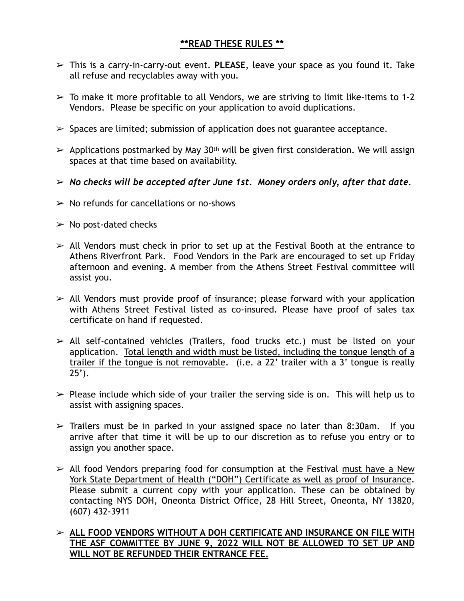# **\*\*READ THESE RULES \*\***

- ➢ This is a carry-in-carry-out event. **PLEASE**, leave your space as you found it. Take all refuse and recyclables away with you.
- $\geq$  To make it more profitable to all Vendors, we are striving to limit like-items to 1-2 Vendors. Please be specific on your application to avoid duplications.
- $\triangleright$  Spaces are limited; submission of application does not guarantee acceptance.
- $\triangleright$  Applications postmarked by May 30<sup>th</sup> will be given first consideration. We will assign spaces at that time based on availability.
- ➢ *No checks will be accepted after June 1st. Money orders only, after that date*.
- $\triangleright$  No refunds for cancellations or no-shows
- $\triangleright$  No post-dated checks
- $\ge$  All Vendors must check in prior to set up at the Festival Booth at the entrance to Athens Riverfront Park. Food Vendors in the Park are encouraged to set up Friday afternoon and evening. A member from the Athens Street Festival committee will assist you.
- $\geq$  All Vendors must provide proof of insurance; please forward with your application with Athens Street Festival listed as co-insured. Please have proof of sales tax certificate on hand if requested.
- $\ge$  All self-contained vehicles (Trailers, food trucks etc.) must be listed on your application. Total length and width must be listed, including the tongue length of a trailer if the tongue is not removable. (i.e. a 22' trailer with a 3' tongue is really  $25$ <sup>'</sup>).
- $\triangleright$  Please include which side of your trailer the serving side is on. This will help us to assist with assigning spaces.
- $\geq$  Trailers must be in parked in your assigned space no later than 8:30am. If you arrive after that time it will be up to our discretion as to refuse you entry or to assign you another space.
- $\ge$  All food Vendors preparing food for consumption at the Festival must have a New York State Department of Health ("DOH") Certificate as well as proof of Insurance. Please submit a current copy with your application. These can be obtained by contacting NYS DOH, Oneonta District Office, 28 Hill Street, Oneonta, NY 13820, (607) 432-3911

# ➢ **ALL FOOD VENDORS WITHOUT A DOH CERTIFICATE AND INSURANCE ON FILE WITH THE ASF COMMITTEE BY JUNE 9, 2022 WILL NOT BE ALLOWED TO SET UP AND WILL NOT BE REFUNDED THEIR ENTRANCE FEE.**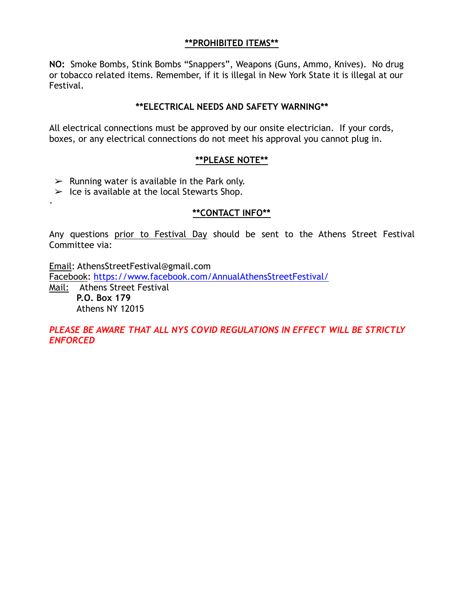# **\*\*PROHIBITED ITEMS\*\***

**NO:** Smoke Bombs, Stink Bombs "Snappers", Weapons (Guns, Ammo, Knives). No drug or tobacco related items. Remember, if it is illegal in New York State it is illegal at our Festival.

## **\*\*ELECTRICAL NEEDS AND SAFETY WARNING\*\***

All electrical connections must be approved by our onsite electrician. If your cords, boxes, or any electrical connections do not meet his approval you cannot plug in.

### **\*\*PLEASE NOTE\*\***

- $\triangleright$  Running water is available in the Park only.
- $\triangleright$  Ice is available at the local Stewarts Shop.

# **\*\*CONTACT INFO\*\***

Any questions prior to Festival Day should be sent to the Athens Street Festival Committee via:

Email: AthensStreetFestival@gmail.com

Facebook: <https://www.facebook.com/AnnualAthensStreetFestival/>

Mail: Athens Street Festival **P.O. Box 179**  Athens NY 12015

-

*PLEASE BE AWARE THAT ALL NYS COVID REGULATIONS IN EFFECT WILL BE STRICTLY ENFORCED*